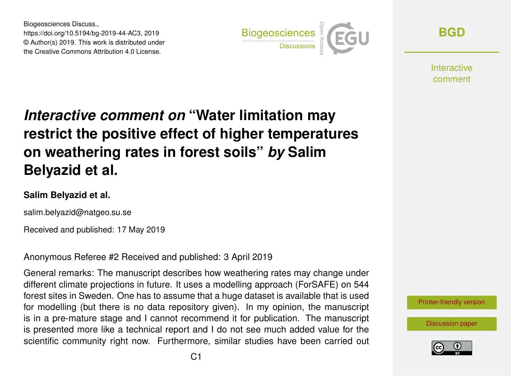Biogeosciences Discuss., https://doi.org/10.5194/bg-2019-44-AC3, 2019 © Author(s) 2019. This work is distributed under the Creative Commons Attribution 4.0 License.



**[BGD](https://www.biogeosciences-discuss.net/)**

Interactive comment

# *Interactive comment on* **"Water limitation may restrict the positive effect of higher temperatures on weathering rates in forest soils"** *by* **Salim Belyazid et al.**

#### **Salim Belyazid et al.**

salim.belyazid@natgeo.su.se

Received and published: 17 May 2019

Anonymous Referee #2 Received and published: 3 April 2019

General remarks: The manuscript describes how weathering rates may change under different climate projections in future. It uses a modelling approach (ForSAFE) on 544 forest sites in Sweden. One has to assume that a huge dataset is available that is used for modelling (but there is no data repository given). In my opinion, the manuscript is in a pre-mature stage and I cannot recommend it for publication. The manuscript is presented more like a technical report and I do not see much added value for the scientific community right now. Furthermore, similar studies have been carried out



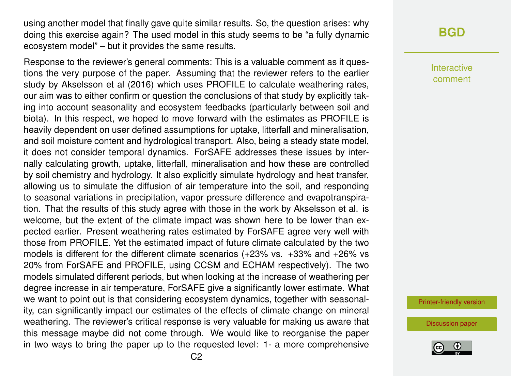using another model that finally gave quite similar results. So, the question arises: why doing this exercise again? The used model in this study seems to be "a fully dynamic ecosystem model" – but it provides the same results.

Response to the reviewer's general comments: This is a valuable comment as it questions the very purpose of the paper. Assuming that the reviewer refers to the earlier study by Akselsson et al (2016) which uses PROFILE to calculate weathering rates, our aim was to either confirm or question the conclusions of that study by explicitly taking into account seasonality and ecosystem feedbacks (particularly between soil and biota). In this respect, we hoped to move forward with the estimates as PROFILE is heavily dependent on user defined assumptions for uptake, litterfall and mineralisation, and soil moisture content and hydrological transport. Also, being a steady state model, it does not consider temporal dynamics. ForSAFE addresses these issues by internally calculating growth, uptake, litterfall, mineralisation and how these are controlled by soil chemistry and hydrology. It also explicitly simulate hydrology and heat transfer, allowing us to simulate the diffusion of air temperature into the soil, and responding to seasonal variations in precipitation, vapor pressure difference and evapotranspiration. That the results of this study agree with those in the work by Akselsson et al. is welcome, but the extent of the climate impact was shown here to be lower than expected earlier. Present weathering rates estimated by ForSAFE agree very well with those from PROFILE. Yet the estimated impact of future climate calculated by the two models is different for the different climate scenarios (+23% vs. +33% and +26% vs 20% from ForSAFE and PROFILE, using CCSM and ECHAM respectively). The two models simulated different periods, but when looking at the increase of weathering per degree increase in air temperature, ForSAFE give a significantly lower estimate. What we want to point out is that considering ecosystem dynamics, together with seasonality, can significantly impact our estimates of the effects of climate change on mineral weathering. The reviewer's critical response is very valuable for making us aware that this message maybe did not come through. We would like to reorganise the paper in two ways to bring the paper up to the requested level: 1- a more comprehensive

### **[BGD](https://www.biogeosciences-discuss.net/)**

Interactive comment

[Printer-friendly version](https://www.biogeosciences-discuss.net/bg-2019-44/bg-2019-44-AC3-print.pdf)

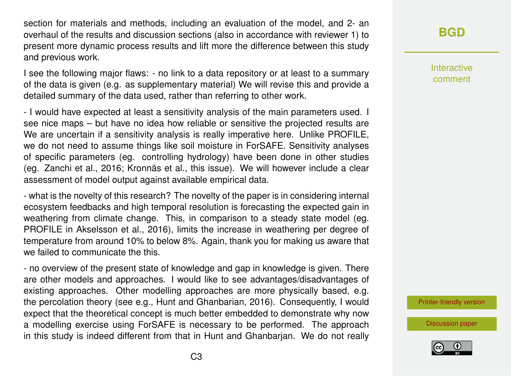section for materials and methods, including an evaluation of the model, and 2- an overhaul of the results and discussion sections (also in accordance with reviewer 1) to present more dynamic process results and lift more the difference between this study and previous work.

I see the following major flaws: - no link to a data repository or at least to a summary of the data is given (e.g. as supplementary material) We will revise this and provide a detailed summary of the data used, rather than referring to other work.

- I would have expected at least a sensitivity analysis of the main parameters used. I see nice maps – but have no idea how reliable or sensitive the projected results are We are uncertain if a sensitivity analysis is really imperative here. Unlike PROFILE, we do not need to assume things like soil moisture in ForSAFE. Sensitivity analyses of specific parameters (eg. controlling hydrology) have been done in other studies (eg. Zanchi et al., 2016; Kronnäs et al., this issue). We will however include a clear assessment of model output against available empirical data.

- what is the novelty of this research? The novelty of the paper is in considering internal ecosystem feedbacks and high temporal resolution is forecasting the expected gain in weathering from climate change. This, in comparison to a steady state model (eg. PROFILE in Akselsson et al., 2016), limits the increase in weathering per degree of temperature from around 10% to below 8%. Again, thank you for making us aware that we failed to communicate the this.

- no overview of the present state of knowledge and gap in knowledge is given. There are other models and approaches. I would like to see advantages/disadvantages of existing approaches. Other modelling approaches are more physically based, e.g. the percolation theory (see e.g., Hunt and Ghanbarian, 2016). Consequently, I would expect that the theoretical concept is much better embedded to demonstrate why now a modelling exercise using ForSAFE is necessary to be performed. The approach in this study is indeed different from that in Hunt and Ghanbarjan. We do not really

# **[BGD](https://www.biogeosciences-discuss.net/)**

Interactive comment

[Printer-friendly version](https://www.biogeosciences-discuss.net/bg-2019-44/bg-2019-44-AC3-print.pdf)

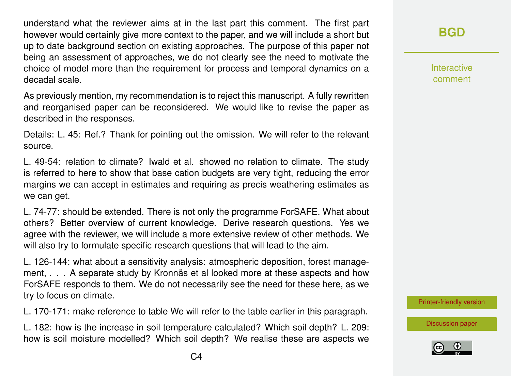understand what the reviewer aims at in the last part this comment. The first part however would certainly give more context to the paper, and we will include a short but up to date background section on existing approaches. The purpose of this paper not being an assessment of approaches, we do not clearly see the need to motivate the choice of model more than the requirement for process and temporal dynamics on a decadal scale.

As previously mention, my recommendation is to reject this manuscript. A fully rewritten and reorganised paper can be reconsidered. We would like to revise the paper as described in the responses.

Details: L. 45: Ref.? Thank for pointing out the omission. We will refer to the relevant source.

L. 49-54: relation to climate? Iwald et al. showed no relation to climate. The study is referred to here to show that base cation budgets are very tight, reducing the error margins we can accept in estimates and requiring as precis weathering estimates as we can get.

L. 74-77: should be extended. There is not only the programme ForSAFE. What about others? Better overview of current knowledge. Derive research questions. Yes we agree with the reviewer, we will include a more extensive review of other methods. We will also try to formulate specific research questions that will lead to the aim.

L. 126-144: what about a sensitivity analysis: atmospheric deposition, forest management, . . . A separate study by Kronnäs et al looked more at these aspects and how ForSAFE responds to them. We do not necessarily see the need for these here, as we try to focus on climate.

L. 170-171: make reference to table We will refer to the table earlier in this paragraph.

L. 182: how is the increase in soil temperature calculated? Which soil depth? L. 209: how is soil moisture modelled? Which soil depth? We realise these are aspects we

Interactive comment

[Printer-friendly version](https://www.biogeosciences-discuss.net/bg-2019-44/bg-2019-44-AC3-print.pdf)